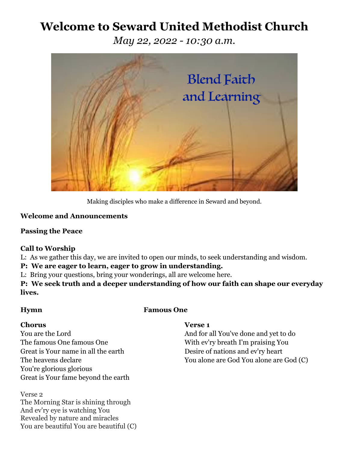# **Welcome to Seward United Methodist Church**

*May 22, 2022 - 10:30 a.m.*



Making disciples who make a difference in Seward and beyond.

# **Welcome and Announcements**

# **Passing the Peace**

# **Call to Worship**

L: As we gather this day, we are invited to open our minds, to seek understanding and wisdom.

**P: We are eager to learn, eager to grow in understanding.**

L: Bring your questions, bring your wonderings, all are welcome here.

**P: We seek truth and a deeper understanding of how our faith can shape our everyday lives.**

# **Hymn Famous One**

### **Chorus Verse 1**

The famous One famous One With ev'ry breath I'm praising You Great is Your name in all the earth Desire of nations and ev'ry heart You're glorious glorious Great is Your fame beyond the earth

Verse 2 The Morning Star is shining through And ev'ry eye is watching You Revealed by nature and miracles You are beautiful You are beautiful (C)

You are the Lord And for all You've done and yet to do The heavens declare The heavens declare The heavens declare  $Y_{\text{OU}}$  alone are God You alone are God (C)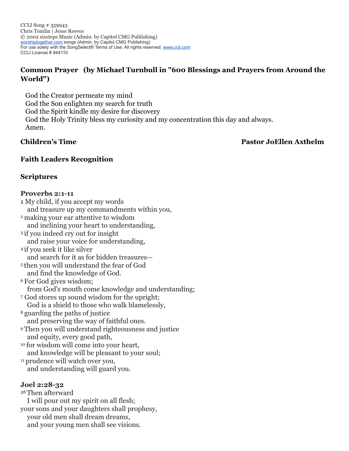CCLI Song # 359943 Chris Tomlin | Jesse Reeves © 2002 sixsteps Music (Admin. by Capitol CMG Publishing) [worshiptogether.com](http://worshiptogether.com/) songs (Admin. by Capitol CMG Publishing) For use solely with the SongSelect® Terms of Use. All rights reserved. [www.ccli.com](http://www.ccli.com/) CCLI License # 944110

# **Common Prayer (by Michael Turnbull in "600 Blessings and Prayers from Around the World")**

 God the Creator permeate my mind God the Son enlighten my search for truth God the Spirit kindle my desire for discovery God the Holy Trinity bless my curiosity and my concentration this day and always. Amen.

**Children's Time Pastor JoEllen Axthelm**

# **Faith Leaders Recognition**

# **Scriptures**

# **Proverbs 2:1-11**

1 My child, if you accept my words and treasure up my commandments within you, <sup>2</sup> making your ear attentive to wisdom and inclining your heart to understanding, <sup>3</sup> if you indeed cry out for insight and raise your voice for understanding, <sup>4</sup> if you seek it like silver and search for it as for hidden treasures— <sup>5</sup> then you will understand the fear of God and find the knowledge of God. <sup>6</sup> For God gives wisdom; from God's mouth come knowledge and understanding; <sup>7</sup> God stores up sound wisdom for the upright; God is a shield to those who walk blamelessly, <sup>8</sup> guarding the paths of justice and preserving the way of faithful ones. <sup>9</sup> Then you will understand righteousness and justice and equity, every good path, <sup>10</sup> for wisdom will come into your heart, and knowledge will be pleasant to your soul; <sup>11</sup> prudence will watch over you, and understanding will guard you.

# **Joel 2:28-32**

<sup>28</sup> Then afterward I will pour out my spirit on all flesh; your sons and your daughters shall prophesy, your old men shall dream dreams, and your young men shall see visions.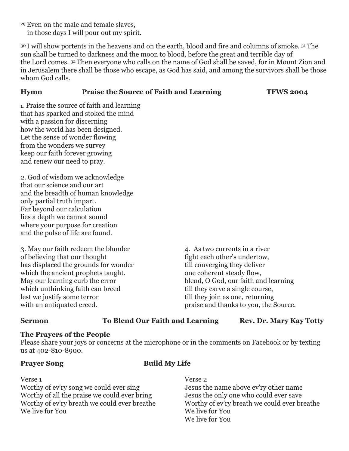29Even on the male and female slaves,

in those days I will pour out my spirit.

<sup>30</sup> I will show portents in the heavens and on the earth, blood and fire and columns of smoke. <sup>31</sup> The sun shall be turned to darkness and the moon to blood, before the great and terrible day of the Lord comes. <sup>32</sup> Then everyone who calls on the name of God shall be saved, for in Mount Zion and in Jerusalem there shall be those who escape, as God has said, and among the survivors shall be those whom God calls.

### **Hymn Praise the Source of Faith and Learning <b>TEWS 2004**

**1.** Praise the source of faith and learning that has sparked and stoked the mind with a passion for discerning how the world has been designed. Let the sense of wonder flowing from the wonders we survey keep our faith forever growing and renew our need to pray.

2. God of wisdom we acknowledge that our science and our art and the breadth of human knowledge only partial truth impart. Far beyond our calculation lies a depth we cannot sound where your purpose for creation and the pulse of life are found.

3. May our faith redeem the blunder 4. As two currents in a river of believing that our thought fight each other's undertow, has displaced the grounds for wonder till converging they deliver which the ancient prophets taught. one coherent steady flow, May our learning curb the error blend, O God, our faith and learning which unthinking faith can breed till they carve a single course, lest we justify some terror till they join as one, returning<br>with an antiquated creed. The special creed in the species and thanks to you, the S

praise and thanks to you, the Source.

### **Sermon To Blend Our Faith and Learning Rev. Dr. Mary Kay Totty**

# **The Prayers of the People**

Please share your joys or concerns at the microphone or in the comments on Facebook or by texting us at 402-810-8900.

# **Prayer Song Build My Life**

Verse 1 Verse 2 Worthy of ev'ry song we could ever sing Jesus the name above ev'ry other name Worthy of all the praise we could ever bring Jesus the only one who could ever save Worthy of ev'ry breath we could ever breathe Worthy of ev'ry breath we could ever breathe We live for You We live for You

We live for You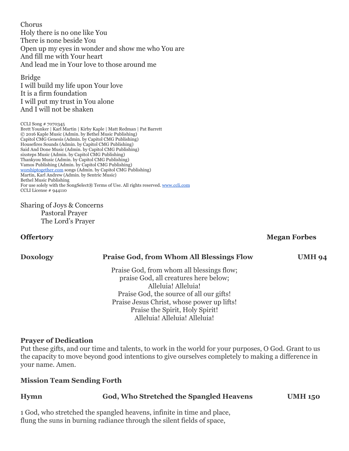Chorus Holy there is no one like You There is none beside You Open up my eyes in wonder and show me who You are And fill me with Your heart And lead me in Your love to those around me

Bridge I will build my life upon Your love It is a firm foundation I will put my trust in You alone And I will not be shaken

CCLI Song # 7070345

Brett Younker | Karl Martin | Kirby Kaple | Matt Redman | Pat Barrett © 2016 Kaple Music (Admin. by Bethel Music Publishing) Capitol CMG Genesis (Admin. by Capitol CMG Publishing) Housefires Sounds (Admin. by Capitol CMG Publishing) Said And Done Music (Admin. by Capitol CMG Publishing) sixsteps Music (Admin. by Capitol CMG Publishing) Thankyou Music (Admin. by Capitol CMG Publishing) Vamos Publishing (Admin. by Capitol CMG Publishing) [worshiptogether.com](http://worshiptogether.com/) songs (Admin. by Capitol CMG Publishing) Martin, Karl Andrew (Admin. by Sentric Music) Bethel Music Publishing For use solely with the SongSelect® Terms of Use. All rights reserved. [www.ccli.com](http://www.ccli.com/) CCLI License # 944110

Sharing of Joys & Concerns Pastoral Prayer The Lord's Prayer

### **Doxology Praise God, from Whom All Blessings Flow UMH 94**

Praise God, from whom all blessings flow; praise God, all creatures here below; Alleluia! Alleluia! Praise God, the source of all our gifts! Praise Jesus Christ, whose power up lifts! Praise the Spirit, Holy Spirit! Alleluia! Alleluia! Alleluia!

### **Prayer of Dedication**

Put these gifts, and our time and talents, to work in the world for your purposes, O God. Grant to us the capacity to move beyond good intentions to give ourselves completely to making a difference in your name. Amen.

### **Mission Team Sending Forth**

### **Hymn God, Who Stretched the Spangled Heavens UMH 150**

1 God, who stretched the spangled heavens, infinite in time and place, flung the suns in burning radiance through the silent fields of space,

# **Offertory Megan Forbes**